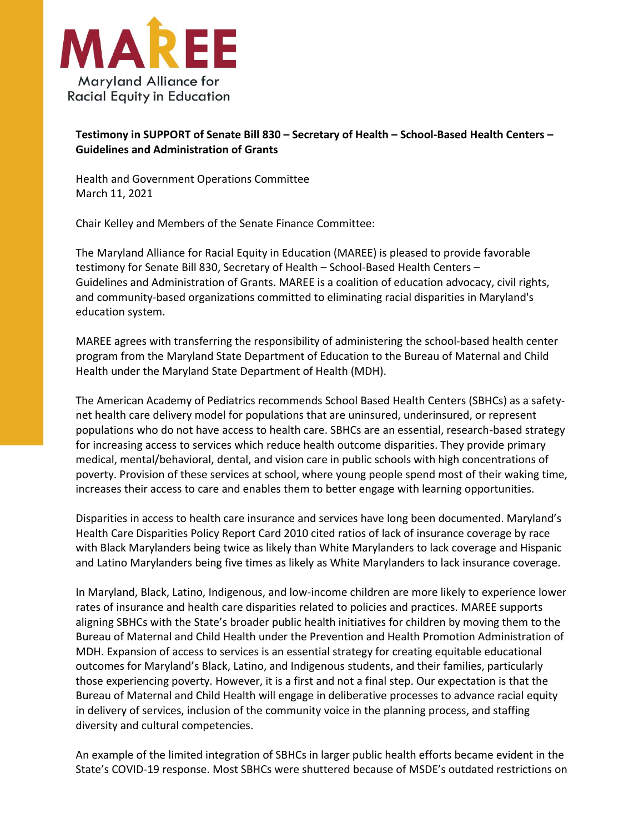

## **Testimony in SUPPORT of Senate Bill 830 – Secretary of Health – School-Based Health Centers – Guidelines and Administration of Grants**

Health and Government Operations Committee March 11, 2021

Chair Kelley and Members of the Senate Finance Committee:

The Maryland Alliance for Racial Equity in Education (MAREE) is pleased to provide favorable testimony for Senate Bill 830, Secretary of Health – School-Based Health Centers – Guidelines and Administration of Grants. MAREE is a coalition of education advocacy, civil rights, and community-based organizations committed to eliminating racial disparities in Maryland's education system.

MAREE agrees with transferring the responsibility of administering the school-based health center program from the Maryland State Department of Education to the Bureau of Maternal and Child Health under the Maryland State Department of Health (MDH).

The American Academy of Pediatrics recommends School Based Health Centers (SBHCs) as a safetynet health care delivery model for populations that are uninsured, underinsured, or represent populations who do not have access to health care. SBHCs are an essential, research-based strategy for increasing access to services which reduce health outcome disparities. They provide primary medical, mental/behavioral, dental, and vision care in public schools with high concentrations of poverty. Provision of these services at school, where young people spend most of their waking time, increases their access to care and enables them to better engage with learning opportunities.

Disparities in access to health care insurance and services have long been documented. Maryland's Health Care Disparities Policy Report Card 2010 cited ratios of lack of insurance coverage by race with Black Marylanders being twice as likely than White Marylanders to lack coverage and Hispanic and Latino Marylanders being five times as likely as White Marylanders to lack insurance coverage.

In Maryland, Black, Latino, Indigenous, and low-income children are more likely to experience lower rates of insurance and health care disparities related to policies and practices. MAREE supports aligning SBHCs with the State's broader public health initiatives for children by moving them to the Bureau of Maternal and Child Health under the Prevention and Health Promotion Administration of MDH. Expansion of access to services is an essential strategy for creating equitable educational outcomes for Maryland's Black, Latino, and Indigenous students, and their families, particularly those experiencing poverty. However, it is a first and not a final step. Our expectation is that the Bureau of Maternal and Child Health will engage in deliberative processes to advance racial equity in delivery of services, inclusion of the community voice in the planning process, and staffing diversity and cultural competencies.

An example of the limited integration of SBHCs in larger public health efforts became evident in the State's COVID-19 response. Most SBHCs were shuttered because of MSDE's outdated restrictions on